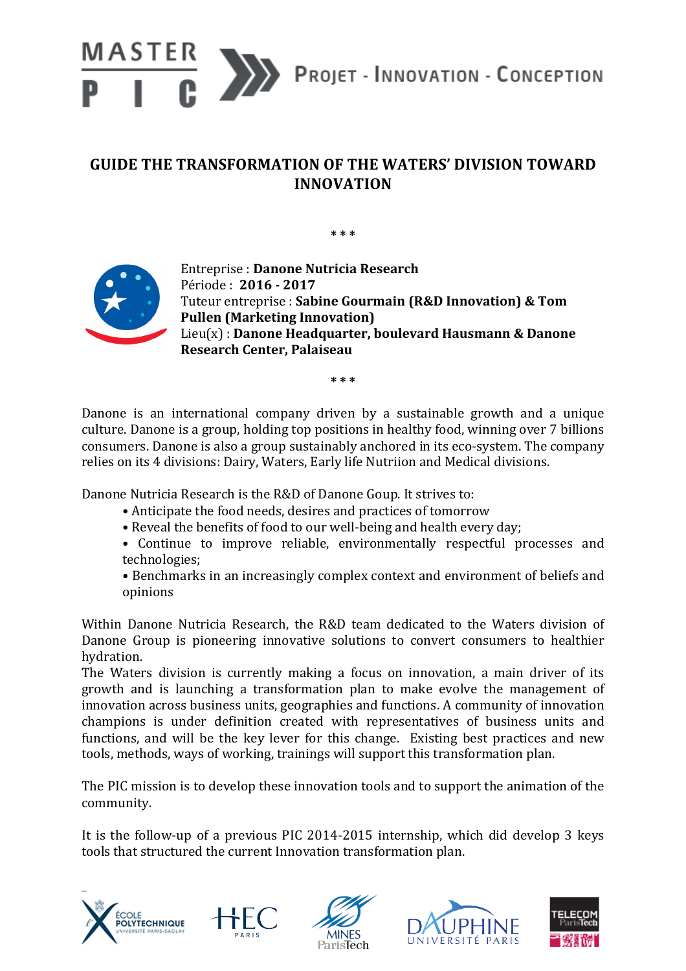

## **GUIDE THE TRANSFORMATION OF THE WATERS' DIVISION TOWARD INNOVATION**

**\* \* \***



Entreprise : **Danone Nutricia Research** Période : **2016 - 2017** Tuteur entreprise : Sabine Gourmain (R&D Innovation) & Tom **Pullen (Marketing Innovation)** Lieu(x) : Danone Headquarter, boulevard Hausmann & Danone **Research Center, Palaiseau**

**\* \* \***

Danone is an international company driven by a sustainable growth and a unique culture. Danone is a group, holding top positions in healthy food, winning over 7 billions consumers. Danone is also a group sustainably anchored in its eco-system. The company relies on its 4 divisions: Dairy, Waters, Early life Nutriion and Medical divisions.

Danone Nutricia Research is the R&D of Danone Goup. It strives to:

- Anticipate the food needs, desires and practices of tomorrow
- Reveal the benefits of food to our well-being and health every day:
- Continue to improve reliable, environmentally respectful processes and technologies;
- Benchmarks in an increasingly complex context and environment of beliefs and opinions

Within Danone Nutricia Research, the R&D team dedicated to the Waters division of Danone Group is pioneering innovative solutions to convert consumers to healthier hydration. 

The Waters division is currently making a focus on innovation, a main driver of its growth and is launching a transformation plan to make evolve the management of innovation across business units, geographies and functions. A community of innovation champions is under definition created with representatives of business units and functions, and will be the key lever for this change. Existing best practices and new tools, methods, ways of working, trainings will support this transformation plan.

The PIC mission is to develop these innovation tools and to support the animation of the community. 

It is the follow-up of a previous PIC 2014-2015 internship, which did develop 3 keys tools that structured the current Innovation transformation plan.